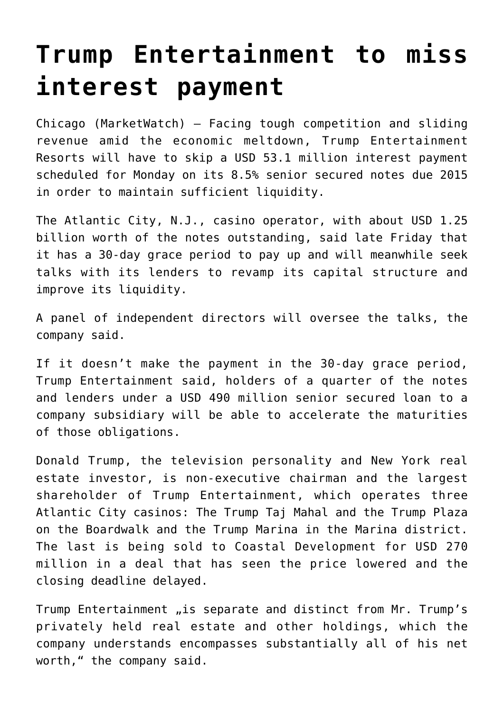## **[Trump Entertainment to miss](https://www.isa-guide.de/english-news/articles/23709.html) [interest payment](https://www.isa-guide.de/english-news/articles/23709.html)**

Chicago (MarketWatch) — Facing tough competition and sliding revenue amid the economic meltdown, Trump Entertainment Resorts will have to skip a USD 53.1 million interest payment scheduled for Monday on its 8.5% senior secured notes due 2015 in order to maintain sufficient liquidity.

The Atlantic City, N.J., casino operator, with about USD 1.25 billion worth of the notes outstanding, said late Friday that it has a 30-day grace period to pay up and will meanwhile seek talks with its lenders to revamp its capital structure and improve its liquidity.

A panel of independent directors will oversee the talks, the company said.

If it doesn't make the payment in the 30-day grace period, Trump Entertainment said, holders of a quarter of the notes and lenders under a USD 490 million senior secured loan to a company subsidiary will be able to accelerate the maturities of those obligations.

Donald Trump, the television personality and New York real estate investor, is non-executive chairman and the largest shareholder of Trump Entertainment, which operates three Atlantic City casinos: The Trump Taj Mahal and the Trump Plaza on the Boardwalk and the Trump Marina in the Marina district. The last is being sold to Coastal Development for USD 270 million in a deal that has seen the price lowered and the closing deadline delayed.

Trump Entertainment "is separate and distinct from Mr. Trump's privately held real estate and other holdings, which the company understands encompasses substantially all of his net worth," the company said.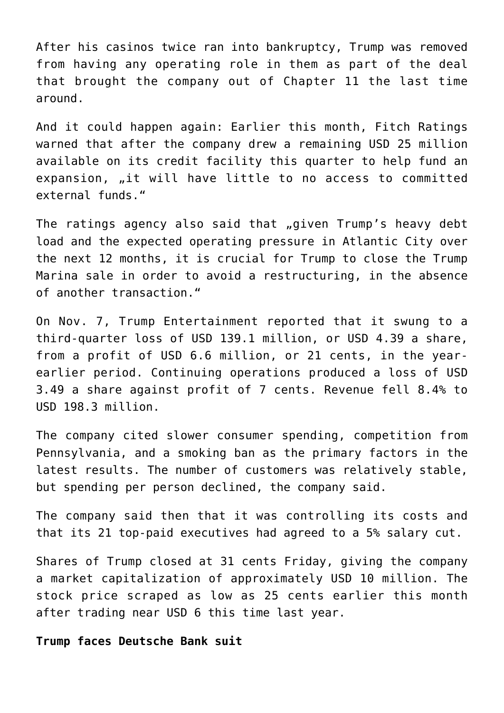After his casinos twice ran into bankruptcy, Trump was removed from having any operating role in them as part of the deal that brought the company out of Chapter 11 the last time around.

And it could happen again: Earlier this month, Fitch Ratings warned that after the company drew a remaining USD 25 million available on its credit facility this quarter to help fund an expansion, "it will have little to no access to committed external funds."

The ratings agency also said that "given Trump's heavy debt load and the expected operating pressure in Atlantic City over the next 12 months, it is crucial for Trump to close the Trump Marina sale in order to avoid a restructuring, in the absence of another transaction."

On Nov. 7, Trump Entertainment reported that it swung to a third-quarter loss of USD 139.1 million, or USD 4.39 a share, from a profit of USD 6.6 million, or 21 cents, in the yearearlier period. Continuing operations produced a loss of USD 3.49 a share against profit of 7 cents. Revenue fell 8.4% to USD 198.3 million.

The company cited slower consumer spending, competition from Pennsylvania, and a smoking ban as the primary factors in the latest results. The number of customers was relatively stable, but spending per person declined, the company said.

The company said then that it was controlling its costs and that its 21 top-paid executives had agreed to a 5% salary cut.

Shares of Trump closed at 31 cents Friday, giving the company a market capitalization of approximately USD 10 million. The stock price scraped as low as 25 cents earlier this month after trading near USD 6 this time last year.

**Trump faces Deutsche Bank suit**